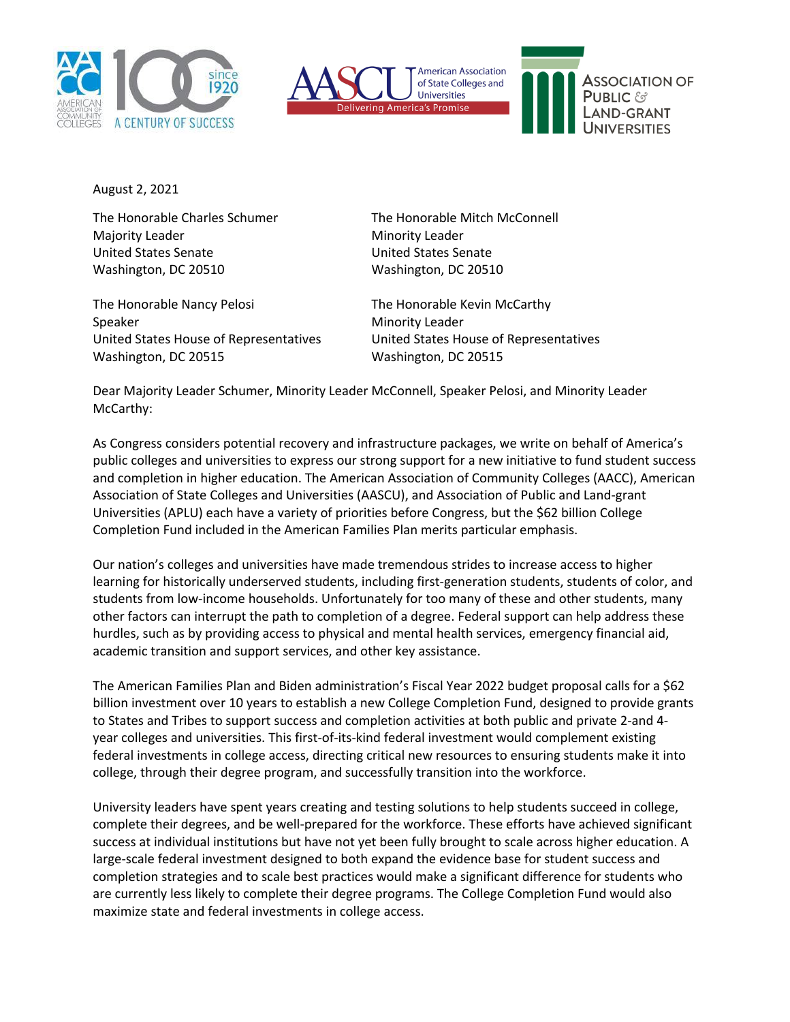





August 2, 2021

The Honorable Charles Schumer The Honorable Mitch McConnell Majority Leader Minority Leader United States Senate United States Senate Washington, DC 20510 Washington, DC 20510

The Honorable Nancy Pelosi The Honorable Kevin McCarthy Speaker Minority Leader United States House of Representatives United States House of Representatives Washington, DC 20515 Washington, DC 20515

Dear Majority Leader Schumer, Minority Leader McConnell, Speaker Pelosi, and Minority Leader McCarthy:

As Congress considers potential recovery and infrastructure packages, we write on behalf of America's public colleges and universities to express our strong support for a new initiative to fund student success and completion in higher education. The American Association of Community Colleges (AACC), American Association of State Colleges and Universities (AASCU), and Association of Public and Land-grant Universities (APLU) each have a variety of priorities before Congress, but the \$62 billion College Completion Fund included in the American Families Plan merits particular emphasis.

Our nation's colleges and universities have made tremendous strides to increase access to higher learning for historically underserved students, including first-generation students, students of color, and students from low-income households. Unfortunately for too many of these and other students, many other factors can interrupt the path to completion of a degree. Federal support can help address these hurdles, such as by providing access to physical and mental health services, emergency financial aid, academic transition and support services, and other key assistance.

The American Families Plan and Biden administration's Fiscal Year 2022 budget proposal calls for a \$62 billion investment over 10 years to establish a new College Completion Fund, designed to provide grants to States and Tribes to support success and completion activities at both public and private 2-and 4 year colleges and universities. This first-of-its-kind federal investment would complement existing federal investments in college access, directing critical new resources to ensuring students make it into college, through their degree program, and successfully transition into the workforce.

University leaders have spent years creating and testing solutions to help students succeed in college, complete their degrees, and be well-prepared for the workforce. These efforts have achieved significant success at individual institutions but have not yet been fully brought to scale across higher education. A large-scale federal investment designed to both expand the evidence base for student success and completion strategies and to scale best practices would make a significant difference for students who are currently less likely to complete their degree programs. The College Completion Fund would also maximize state and federal investments in college access.